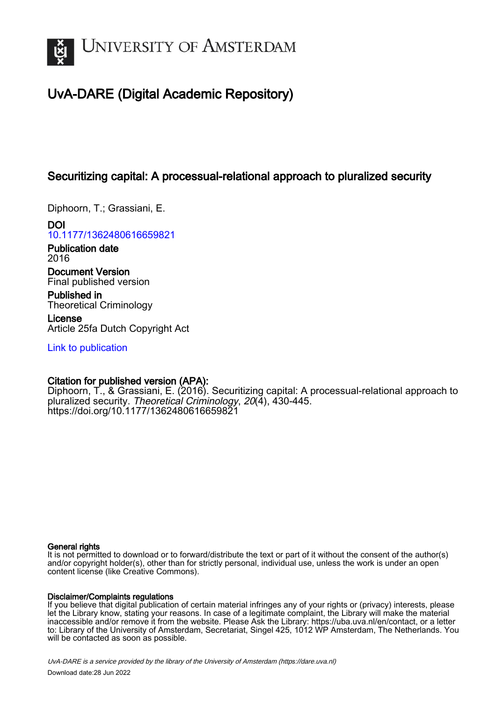

# UvA-DARE (Digital Academic Repository)

# Securitizing capital: A processual-relational approach to pluralized security

Diphoorn, T.; Grassiani, E.

DOI [10.1177/1362480616659821](https://doi.org/10.1177/1362480616659821)

Publication date 2016

Document Version Final published version

Published in Theoretical Criminology

License Article 25fa Dutch Copyright Act

[Link to publication](https://dare.uva.nl/personal/pure/en/publications/securitizing-capital-a-processualrelational-approach-to-pluralized-security(5faff2b9-a07f-4b84-81d3-d72d08819ae6).html)

## Citation for published version (APA):

Diphoorn, T., & Grassiani, E. (2016). Securitizing capital: A processual-relational approach to pluralized security. Theoretical Criminology, 20(4), 430-445. <https://doi.org/10.1177/1362480616659821>

### General rights

It is not permitted to download or to forward/distribute the text or part of it without the consent of the author(s) and/or copyright holder(s), other than for strictly personal, individual use, unless the work is under an open content license (like Creative Commons).

## Disclaimer/Complaints regulations

If you believe that digital publication of certain material infringes any of your rights or (privacy) interests, please let the Library know, stating your reasons. In case of a legitimate complaint, the Library will make the material inaccessible and/or remove it from the website. Please Ask the Library: https://uba.uva.nl/en/contact, or a letter to: Library of the University of Amsterdam, Secretariat, Singel 425, 1012 WP Amsterdam, The Netherlands. You will be contacted as soon as possible.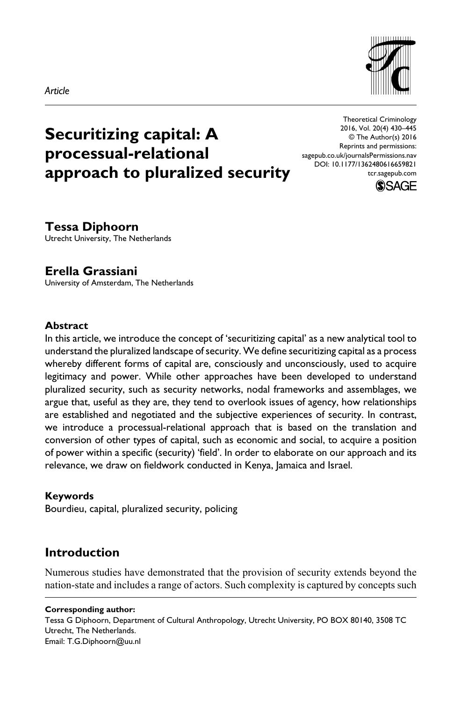*Article*



# **Securitizing capital: A processual-relational approach to pluralized security**

Theoretical Criminology 2016, Vol. 20(4) 430–445 © The Author(s) 2016 Reprints and permissions: sagepub.co.uk/journalsPermissions.nav DOI: 10.1177/1362480616659821 tcr.sagepub.com



## **Tessa Diphoorn**

Utrecht University, The Netherlands

## **Erella Grassiani**

University of Amsterdam, The Netherlands

#### **Abstract**

In this article, we introduce the concept of 'securitizing capital' as a new analytical tool to understand the pluralized landscape of security. We define securitizing capital as a process whereby different forms of capital are, consciously and unconsciously, used to acquire legitimacy and power. While other approaches have been developed to understand pluralized security, such as security networks, nodal frameworks and assemblages, we argue that, useful as they are, they tend to overlook issues of agency, how relationships are established and negotiated and the subjective experiences of security. In contrast, we introduce a processual-relational approach that is based on the translation and conversion of other types of capital, such as economic and social, to acquire a position of power within a specific (security) 'field'. In order to elaborate on our approach and its relevance, we draw on fieldwork conducted in Kenya, Jamaica and Israel.

#### **Keywords**

Bourdieu, capital, pluralized security, policing

## **Introduction**

Numerous studies have demonstrated that the provision of security extends beyond the nation-state and includes a range of actors. Such complexity is captured by concepts such

#### **Corresponding author:**

Tessa G Diphoorn, Department of Cultural Anthropology, Utrecht University, PO BOX 80140, 3508 TC Utrecht, The Netherlands. Email: [T.G.Diphoorn@uu.nl](mailto:T.G.Diphoorn@uu.nl)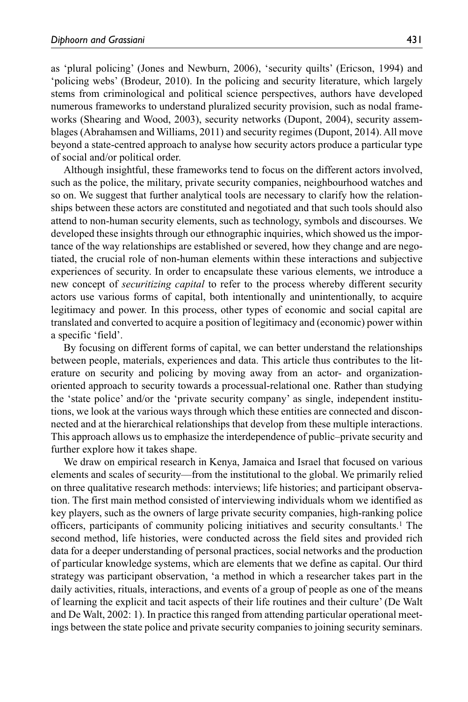as 'plural policing' (Jones and Newburn, 2006), 'security quilts' (Ericson, 1994) and 'policing webs' (Brodeur, 2010). In the policing and security literature, which largely stems from criminological and political science perspectives, authors have developed numerous frameworks to understand pluralized security provision, such as nodal frameworks (Shearing and Wood, 2003), security networks (Dupont, 2004), security assemblages (Abrahamsen and Williams, 2011) and security regimes (Dupont, 2014). All move beyond a state-centred approach to analyse how security actors produce a particular type of social and/or political order.

Although insightful, these frameworks tend to focus on the different actors involved, such as the police, the military, private security companies, neighbourhood watches and so on. We suggest that further analytical tools are necessary to clarify how the relationships between these actors are constituted and negotiated and that such tools should also attend to non-human security elements, such as technology, symbols and discourses. We developed these insights through our ethnographic inquiries, which showed us the importance of the way relationships are established or severed, how they change and are negotiated, the crucial role of non-human elements within these interactions and subjective experiences of security. In order to encapsulate these various elements, we introduce a new concept of *securitizing capital* to refer to the process whereby different security actors use various forms of capital, both intentionally and unintentionally, to acquire legitimacy and power. In this process, other types of economic and social capital are translated and converted to acquire a position of legitimacy and (economic) power within a specific 'field'.

By focusing on different forms of capital, we can better understand the relationships between people, materials, experiences and data. This article thus contributes to the literature on security and policing by moving away from an actor- and organizationoriented approach to security towards a processual-relational one. Rather than studying the 'state police' and/or the 'private security company' as single, independent institutions, we look at the various ways through which these entities are connected and disconnected and at the hierarchical relationships that develop from these multiple interactions. This approach allows us to emphasize the interdependence of public–private security and further explore how it takes shape.

We draw on empirical research in Kenya, Jamaica and Israel that focused on various elements and scales of security—from the institutional to the global. We primarily relied on three qualitative research methods: interviews; life histories; and participant observation. The first main method consisted of interviewing individuals whom we identified as key players, such as the owners of large private security companies, high-ranking police officers, participants of community policing initiatives and security consultants.1 The second method, life histories, were conducted across the field sites and provided rich data for a deeper understanding of personal practices, social networks and the production of particular knowledge systems, which are elements that we define as capital. Our third strategy was participant observation, 'a method in which a researcher takes part in the daily activities, rituals, interactions, and events of a group of people as one of the means of learning the explicit and tacit aspects of their life routines and their culture' (De Walt and De Walt, 2002: 1). In practice this ranged from attending particular operational meetings between the state police and private security companies to joining security seminars.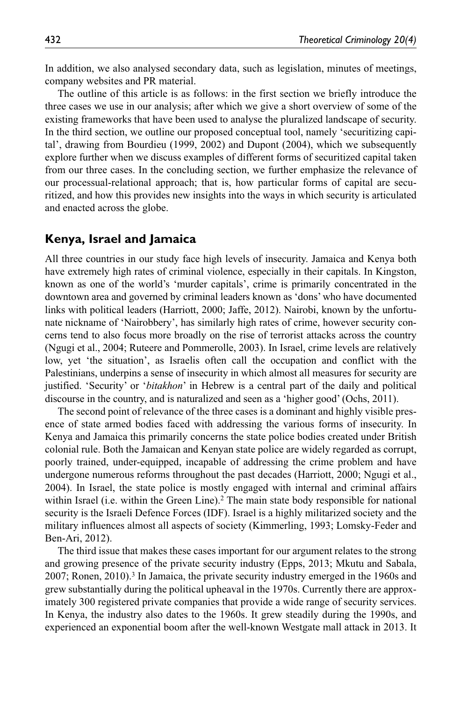In addition, we also analysed secondary data, such as legislation, minutes of meetings, company websites and PR material.

The outline of this article is as follows: in the first section we briefly introduce the three cases we use in our analysis; after which we give a short overview of some of the existing frameworks that have been used to analyse the pluralized landscape of security. In the third section, we outline our proposed conceptual tool, namely 'securitizing capital', drawing from Bourdieu (1999, 2002) and Dupont (2004), which we subsequently explore further when we discuss examples of different forms of securitized capital taken from our three cases. In the concluding section, we further emphasize the relevance of our processual-relational approach; that is, how particular forms of capital are securitized, and how this provides new insights into the ways in which security is articulated and enacted across the globe.

#### **Kenya, Israel and Jamaica**

All three countries in our study face high levels of insecurity. Jamaica and Kenya both have extremely high rates of criminal violence, especially in their capitals. In Kingston, known as one of the world's 'murder capitals', crime is primarily concentrated in the downtown area and governed by criminal leaders known as 'dons' who have documented links with political leaders (Harriott, 2000; Jaffe, 2012). Nairobi, known by the unfortunate nickname of 'Nairobbery', has similarly high rates of crime, however security concerns tend to also focus more broadly on the rise of terrorist attacks across the country (Ngugi et al., 2004; Ruteere and Pommerolle, 2003). In Israel, crime levels are relatively low, yet 'the situation', as Israelis often call the occupation and conflict with the Palestinians, underpins a sense of insecurity in which almost all measures for security are justified. 'Security' or '*bitakhon*' in Hebrew is a central part of the daily and political discourse in the country, and is naturalized and seen as a 'higher good' (Ochs, 2011).

The second point of relevance of the three cases is a dominant and highly visible presence of state armed bodies faced with addressing the various forms of insecurity. In Kenya and Jamaica this primarily concerns the state police bodies created under British colonial rule. Both the Jamaican and Kenyan state police are widely regarded as corrupt, poorly trained, under-equipped, incapable of addressing the crime problem and have undergone numerous reforms throughout the past decades (Harriott, 2000; Ngugi et al., 2004). In Israel, the state police is mostly engaged with internal and criminal affairs within Israel (i.e. within the Green Line).<sup>2</sup> The main state body responsible for national security is the Israeli Defence Forces (IDF). Israel is a highly militarized society and the military influences almost all aspects of society (Kimmerling, 1993; Lomsky-Feder and Ben-Ari, 2012).

The third issue that makes these cases important for our argument relates to the strong and growing presence of the private security industry (Epps, 2013; Mkutu and Sabala, 2007; Ronen, 2010).3 In Jamaica, the private security industry emerged in the 1960s and grew substantially during the political upheaval in the 1970s. Currently there are approximately 300 registered private companies that provide a wide range of security services. In Kenya, the industry also dates to the 1960s. It grew steadily during the 1990s, and experienced an exponential boom after the well-known Westgate mall attack in 2013. It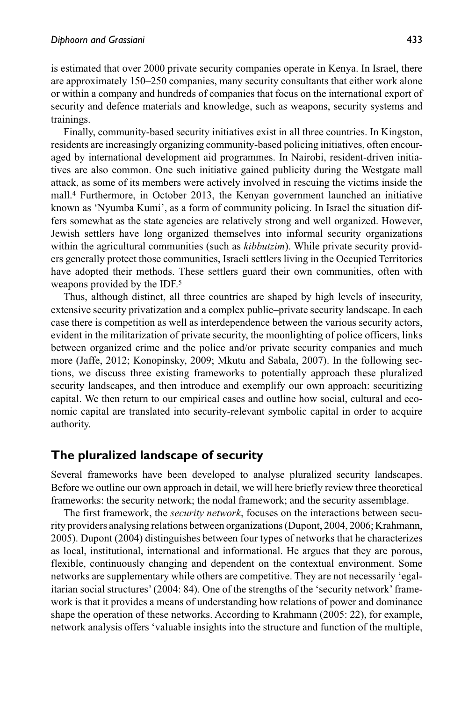is estimated that over 2000 private security companies operate in Kenya. In Israel, there are approximately 150–250 companies, many security consultants that either work alone or within a company and hundreds of companies that focus on the international export of security and defence materials and knowledge, such as weapons, security systems and trainings.

Finally, community-based security initiatives exist in all three countries. In Kingston, residents are increasingly organizing community-based policing initiatives, often encouraged by international development aid programmes. In Nairobi, resident-driven initiatives are also common. One such initiative gained publicity during the Westgate mall attack, as some of its members were actively involved in rescuing the victims inside the mall.4 Furthermore, in October 2013, the Kenyan government launched an initiative known as 'Nyumba Kumi', as a form of community policing. In Israel the situation differs somewhat as the state agencies are relatively strong and well organized. However, Jewish settlers have long organized themselves into informal security organizations within the agricultural communities (such as *kibbutzim*). While private security providers generally protect those communities, Israeli settlers living in the Occupied Territories have adopted their methods. These settlers guard their own communities, often with weapons provided by the IDF.<sup>5</sup>

Thus, although distinct, all three countries are shaped by high levels of insecurity, extensive security privatization and a complex public–private security landscape. In each case there is competition as well as interdependence between the various security actors, evident in the militarization of private security, the moonlighting of police officers, links between organized crime and the police and/or private security companies and much more (Jaffe, 2012; Konopinsky, 2009; Mkutu and Sabala, 2007). In the following sections, we discuss three existing frameworks to potentially approach these pluralized security landscapes, and then introduce and exemplify our own approach: securitizing capital. We then return to our empirical cases and outline how social, cultural and economic capital are translated into security-relevant symbolic capital in order to acquire authority.

## **The pluralized landscape of security**

Several frameworks have been developed to analyse pluralized security landscapes. Before we outline our own approach in detail, we will here briefly review three theoretical frameworks: the security network; the nodal framework; and the security assemblage.

The first framework, the *security network*, focuses on the interactions between security providers analysing relations between organizations (Dupont, 2004, 2006; Krahmann, 2005). Dupont (2004) distinguishes between four types of networks that he characterizes as local, institutional, international and informational. He argues that they are porous, flexible, continuously changing and dependent on the contextual environment. Some networks are supplementary while others are competitive. They are not necessarily 'egalitarian social structures' (2004: 84). One of the strengths of the 'security network' framework is that it provides a means of understanding how relations of power and dominance shape the operation of these networks. According to Krahmann (2005: 22), for example, network analysis offers 'valuable insights into the structure and function of the multiple,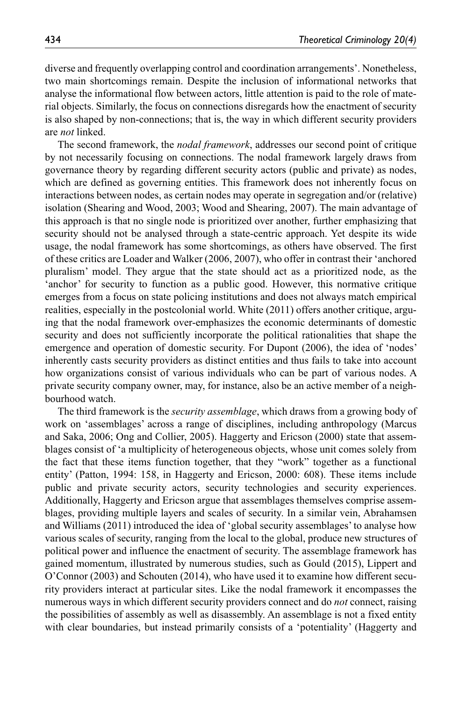diverse and frequently overlapping control and coordination arrangements'. Nonetheless, two main shortcomings remain. Despite the inclusion of informational networks that analyse the informational flow between actors, little attention is paid to the role of material objects. Similarly, the focus on connections disregards how the enactment of security is also shaped by non-connections; that is, the way in which different security providers are *not* linked.

The second framework, the *nodal framework*, addresses our second point of critique by not necessarily focusing on connections. The nodal framework largely draws from governance theory by regarding different security actors (public and private) as nodes, which are defined as governing entities. This framework does not inherently focus on interactions between nodes, as certain nodes may operate in segregation and/or (relative) isolation (Shearing and Wood, 2003; Wood and Shearing, 2007). The main advantage of this approach is that no single node is prioritized over another, further emphasizing that security should not be analysed through a state-centric approach. Yet despite its wide usage, the nodal framework has some shortcomings, as others have observed. The first of these critics are Loader and Walker (2006, 2007), who offer in contrast their 'anchored pluralism' model. They argue that the state should act as a prioritized node, as the 'anchor' for security to function as a public good. However, this normative critique emerges from a focus on state policing institutions and does not always match empirical realities, especially in the postcolonial world. White (2011) offers another critique, arguing that the nodal framework over-emphasizes the economic determinants of domestic security and does not sufficiently incorporate the political rationalities that shape the emergence and operation of domestic security. For Dupont (2006), the idea of 'nodes' inherently casts security providers as distinct entities and thus fails to take into account how organizations consist of various individuals who can be part of various nodes. A private security company owner, may, for instance, also be an active member of a neighbourhood watch.

The third framework is the *security assemblage*, which draws from a growing body of work on 'assemblages' across a range of disciplines, including anthropology (Marcus and Saka, 2006; Ong and Collier, 2005). Haggerty and Ericson (2000) state that assemblages consist of 'a multiplicity of heterogeneous objects, whose unit comes solely from the fact that these items function together, that they "work" together as a functional entity' (Patton, 1994: 158, in Haggerty and Ericson, 2000: 608). These items include public and private security actors, security technologies and security experiences. Additionally, Haggerty and Ericson argue that assemblages themselves comprise assemblages, providing multiple layers and scales of security. In a similar vein, Abrahamsen and Williams (2011) introduced the idea of 'global security assemblages' to analyse how various scales of security, ranging from the local to the global, produce new structures of political power and influence the enactment of security. The assemblage framework has gained momentum, illustrated by numerous studies, such as Gould (2015), Lippert and O'Connor (2003) and Schouten (2014), who have used it to examine how different security providers interact at particular sites. Like the nodal framework it encompasses the numerous ways in which different security providers connect and do *not* connect, raising the possibilities of assembly as well as disassembly. An assemblage is not a fixed entity with clear boundaries, but instead primarily consists of a 'potentiality' (Haggerty and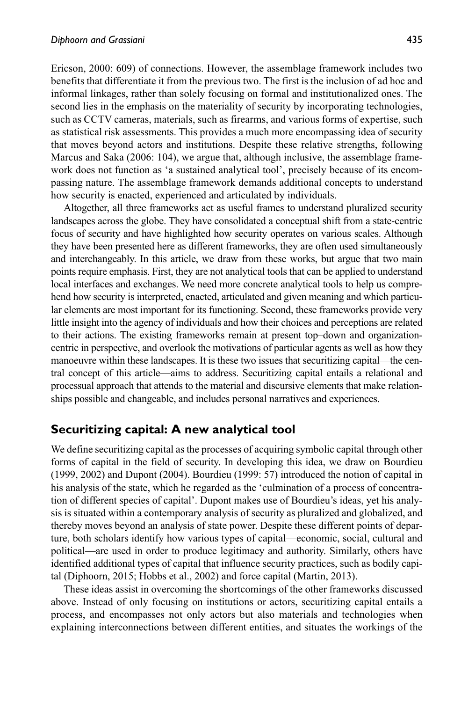Ericson, 2000: 609) of connections. However, the assemblage framework includes two benefits that differentiate it from the previous two. The first is the inclusion of ad hoc and informal linkages, rather than solely focusing on formal and institutionalized ones. The second lies in the emphasis on the materiality of security by incorporating technologies, such as CCTV cameras, materials, such as firearms, and various forms of expertise, such as statistical risk assessments. This provides a much more encompassing idea of security that moves beyond actors and institutions. Despite these relative strengths, following Marcus and Saka (2006: 104), we argue that, although inclusive, the assemblage framework does not function as 'a sustained analytical tool', precisely because of its encompassing nature. The assemblage framework demands additional concepts to understand how security is enacted, experienced and articulated by individuals.

Altogether, all three frameworks act as useful frames to understand pluralized security landscapes across the globe. They have consolidated a conceptual shift from a state-centric focus of security and have highlighted how security operates on various scales. Although they have been presented here as different frameworks, they are often used simultaneously and interchangeably. In this article, we draw from these works, but argue that two main points require emphasis. First, they are not analytical tools that can be applied to understand local interfaces and exchanges. We need more concrete analytical tools to help us comprehend how security is interpreted, enacted, articulated and given meaning and which particular elements are most important for its functioning. Second, these frameworks provide very little insight into the agency of individuals and how their choices and perceptions are related to their actions. The existing frameworks remain at present top–down and organizationcentric in perspective, and overlook the motivations of particular agents as well as how they manoeuvre within these landscapes. It is these two issues that securitizing capital—the central concept of this article—aims to address. Securitizing capital entails a relational and processual approach that attends to the material and discursive elements that make relationships possible and changeable, and includes personal narratives and experiences.

### **Securitizing capital: A new analytical tool**

We define securitizing capital as the processes of acquiring symbolic capital through other forms of capital in the field of security. In developing this idea, we draw on Bourdieu (1999, 2002) and Dupont (2004). Bourdieu (1999: 57) introduced the notion of capital in his analysis of the state, which he regarded as the 'culmination of a process of concentration of different species of capital'. Dupont makes use of Bourdieu's ideas, yet his analysis is situated within a contemporary analysis of security as pluralized and globalized, and thereby moves beyond an analysis of state power. Despite these different points of departure, both scholars identify how various types of capital—economic, social, cultural and political—are used in order to produce legitimacy and authority. Similarly, others have identified additional types of capital that influence security practices, such as bodily capital (Diphoorn, 2015; Hobbs et al., 2002) and force capital (Martin, 2013).

These ideas assist in overcoming the shortcomings of the other frameworks discussed above. Instead of only focusing on institutions or actors, securitizing capital entails a process, and encompasses not only actors but also materials and technologies when explaining interconnections between different entities, and situates the workings of the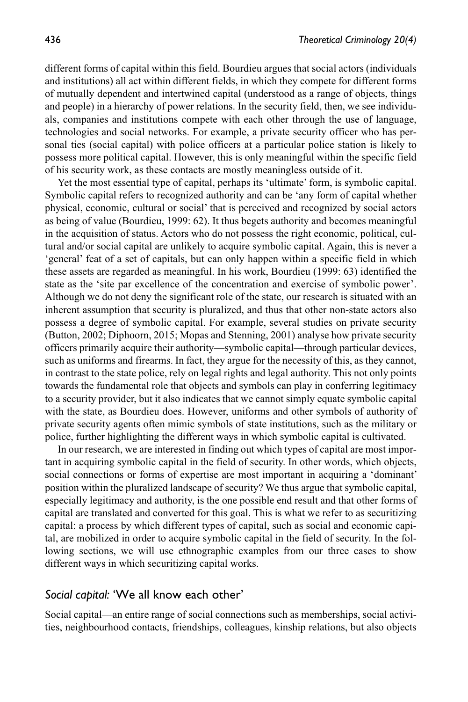different forms of capital within this field. Bourdieu argues that social actors (individuals and institutions) all act within different fields, in which they compete for different forms of mutually dependent and intertwined capital (understood as a range of objects, things and people) in a hierarchy of power relations. In the security field, then, we see individuals, companies and institutions compete with each other through the use of language, technologies and social networks. For example, a private security officer who has personal ties (social capital) with police officers at a particular police station is likely to possess more political capital. However, this is only meaningful within the specific field of his security work, as these contacts are mostly meaningless outside of it.

Yet the most essential type of capital, perhaps its 'ultimate' form, is symbolic capital. Symbolic capital refers to recognized authority and can be 'any form of capital whether physical, economic, cultural or social' that is perceived and recognized by social actors as being of value (Bourdieu, 1999: 62). It thus begets authority and becomes meaningful in the acquisition of status. Actors who do not possess the right economic, political, cultural and/or social capital are unlikely to acquire symbolic capital. Again, this is never a 'general' feat of a set of capitals, but can only happen within a specific field in which these assets are regarded as meaningful. In his work, Bourdieu (1999: 63) identified the state as the 'site par excellence of the concentration and exercise of symbolic power'. Although we do not deny the significant role of the state, our research is situated with an inherent assumption that security is pluralized, and thus that other non-state actors also possess a degree of symbolic capital. For example, several studies on private security (Button, 2002; Diphoorn, 2015; Mopas and Stenning, 2001) analyse how private security officers primarily acquire their authority—symbolic capital—through particular devices, such as uniforms and firearms. In fact, they argue for the necessity of this, as they cannot, in contrast to the state police, rely on legal rights and legal authority. This not only points towards the fundamental role that objects and symbols can play in conferring legitimacy to a security provider, but it also indicates that we cannot simply equate symbolic capital with the state, as Bourdieu does. However, uniforms and other symbols of authority of private security agents often mimic symbols of state institutions, such as the military or police, further highlighting the different ways in which symbolic capital is cultivated.

In our research, we are interested in finding out which types of capital are most important in acquiring symbolic capital in the field of security. In other words, which objects, social connections or forms of expertise are most important in acquiring a 'dominant' position within the pluralized landscape of security? We thus argue that symbolic capital, especially legitimacy and authority, is the one possible end result and that other forms of capital are translated and converted for this goal. This is what we refer to as securitizing capital: a process by which different types of capital, such as social and economic capital, are mobilized in order to acquire symbolic capital in the field of security. In the following sections, we will use ethnographic examples from our three cases to show different ways in which securitizing capital works.

#### *Social capital:* 'We all know each other'

Social capital—an entire range of social connections such as memberships, social activities, neighbourhood contacts, friendships, colleagues, kinship relations, but also objects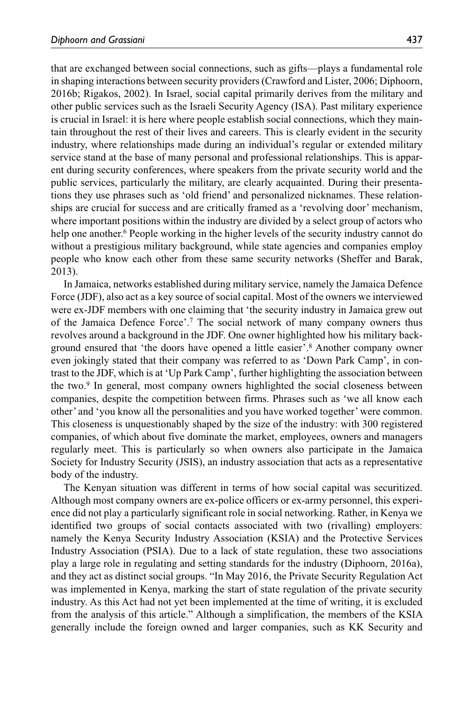that are exchanged between social connections, such as gifts—plays a fundamental role in shaping interactions between security providers (Crawford and Lister, 2006; Diphoorn, 2016b; Rigakos, 2002). In Israel, social capital primarily derives from the military and other public services such as the Israeli Security Agency (ISA). Past military experience is crucial in Israel: it is here where people establish social connections, which they maintain throughout the rest of their lives and careers. This is clearly evident in the security industry, where relationships made during an individual's regular or extended military service stand at the base of many personal and professional relationships. This is apparent during security conferences, where speakers from the private security world and the public services, particularly the military, are clearly acquainted. During their presentations they use phrases such as 'old friend' and personalized nicknames. These relationships are crucial for success and are critically framed as a 'revolving door' mechanism, where important positions within the industry are divided by a select group of actors who help one another.<sup>6</sup> People working in the higher levels of the security industry cannot do without a prestigious military background, while state agencies and companies employ people who know each other from these same security networks (Sheffer and Barak, 2013).

In Jamaica, networks established during military service, namely the Jamaica Defence Force (JDF), also act as a key source of social capital. Most of the owners we interviewed were ex-JDF members with one claiming that 'the security industry in Jamaica grew out of the Jamaica Defence Force'.7 The social network of many company owners thus revolves around a background in the JDF. One owner highlighted how his military background ensured that 'the doors have opened a little easier'.8 Another company owner even jokingly stated that their company was referred to as 'Down Park Camp', in contrast to the JDF, which is at 'Up Park Camp', further highlighting the association between the two.9 In general, most company owners highlighted the social closeness between companies, despite the competition between firms. Phrases such as 'we all know each other' and 'you know all the personalities and you have worked together' were common. This closeness is unquestionably shaped by the size of the industry: with 300 registered companies, of which about five dominate the market, employees, owners and managers regularly meet. This is particularly so when owners also participate in the Jamaica Society for Industry Security (JSIS), an industry association that acts as a representative body of the industry.

The Kenyan situation was different in terms of how social capital was securitized. Although most company owners are ex-police officers or ex-army personnel, this experience did not play a particularly significant role in social networking. Rather, in Kenya we identified two groups of social contacts associated with two (rivalling) employers: namely the Kenya Security Industry Association (KSIA) and the Protective Services Industry Association (PSIA). Due to a lack of state regulation, these two associations play a large role in regulating and setting standards for the industry (Diphoorn, 2016a), and they act as distinct social groups. "In May 2016, the Private Security Regulation Act was implemented in Kenya, marking the start of state regulation of the private security industry. As this Act had not yet been implemented at the time of writing, it is excluded from the analysis of this article." Although a simplification, the members of the KSIA generally include the foreign owned and larger companies, such as KK Security and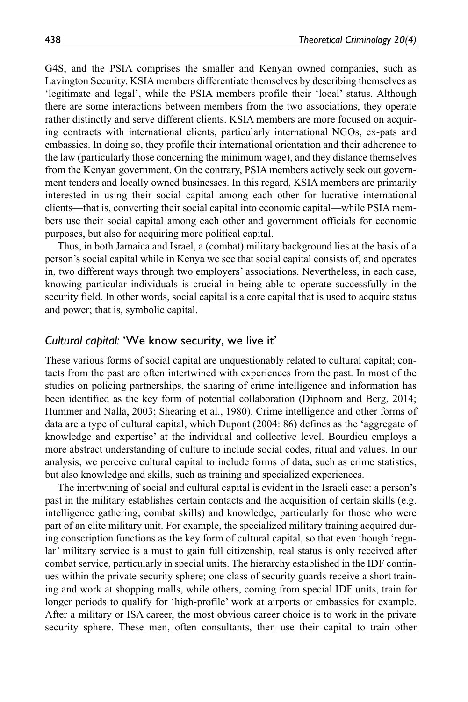G4S, and the PSIA comprises the smaller and Kenyan owned companies, such as Lavington Security. KSIA members differentiate themselves by describing themselves as 'legitimate and legal', while the PSIA members profile their 'local' status. Although there are some interactions between members from the two associations, they operate rather distinctly and serve different clients. KSIA members are more focused on acquiring contracts with international clients, particularly international NGOs, ex-pats and embassies. In doing so, they profile their international orientation and their adherence to the law (particularly those concerning the minimum wage), and they distance themselves from the Kenyan government. On the contrary, PSIA members actively seek out government tenders and locally owned businesses. In this regard, KSIA members are primarily interested in using their social capital among each other for lucrative international clients—that is, converting their social capital into economic capital—while PSIA members use their social capital among each other and government officials for economic purposes, but also for acquiring more political capital.

Thus, in both Jamaica and Israel, a (combat) military background lies at the basis of a person's social capital while in Kenya we see that social capital consists of, and operates in, two different ways through two employers' associations. Nevertheless, in each case, knowing particular individuals is crucial in being able to operate successfully in the security field. In other words, social capital is a core capital that is used to acquire status and power; that is, symbolic capital.

#### *Cultural capital:* 'We know security, we live it'

These various forms of social capital are unquestionably related to cultural capital; contacts from the past are often intertwined with experiences from the past. In most of the studies on policing partnerships, the sharing of crime intelligence and information has been identified as the key form of potential collaboration (Diphoorn and Berg, 2014; Hummer and Nalla, 2003; Shearing et al., 1980). Crime intelligence and other forms of data are a type of cultural capital, which Dupont (2004: 86) defines as the 'aggregate of knowledge and expertise' at the individual and collective level. Bourdieu employs a more abstract understanding of culture to include social codes, ritual and values. In our analysis, we perceive cultural capital to include forms of data, such as crime statistics, but also knowledge and skills, such as training and specialized experiences.

The intertwining of social and cultural capital is evident in the Israeli case: a person's past in the military establishes certain contacts and the acquisition of certain skills (e.g. intelligence gathering, combat skills) and knowledge, particularly for those who were part of an elite military unit. For example, the specialized military training acquired during conscription functions as the key form of cultural capital, so that even though 'regular' military service is a must to gain full citizenship, real status is only received after combat service, particularly in special units. The hierarchy established in the IDF continues within the private security sphere; one class of security guards receive a short training and work at shopping malls, while others, coming from special IDF units, train for longer periods to qualify for 'high-profile' work at airports or embassies for example. After a military or ISA career, the most obvious career choice is to work in the private security sphere. These men, often consultants, then use their capital to train other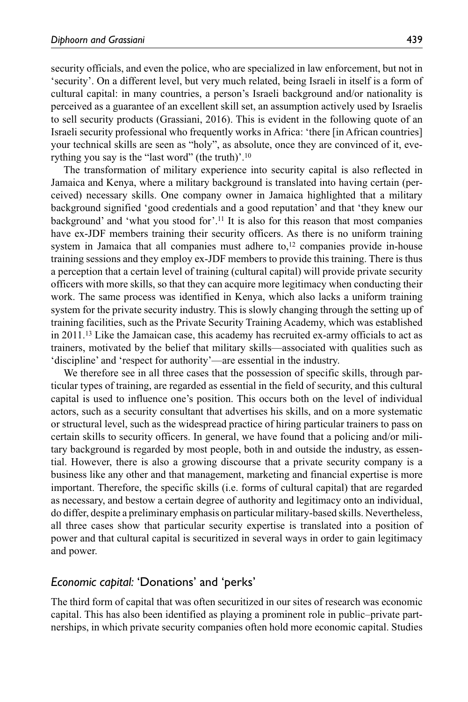security officials, and even the police, who are specialized in law enforcement, but not in 'security'. On a different level, but very much related, being Israeli in itself is a form of cultural capital: in many countries, a person's Israeli background and/or nationality is perceived as a guarantee of an excellent skill set, an assumption actively used by Israelis to sell security products (Grassiani, 2016). This is evident in the following quote of an Israeli security professional who frequently works in Africa: 'there [in African countries] your technical skills are seen as "holy", as absolute, once they are convinced of it, everything you say is the "last word" (the truth)'.10

The transformation of military experience into security capital is also reflected in Jamaica and Kenya, where a military background is translated into having certain (perceived) necessary skills. One company owner in Jamaica highlighted that a military background signified 'good credentials and a good reputation' and that 'they knew our background' and 'what you stood for'.11 It is also for this reason that most companies have ex-JDF members training their security officers. As there is no uniform training system in Jamaica that all companies must adhere to, $12$  companies provide in-house training sessions and they employ ex-JDF members to provide this training. There is thus a perception that a certain level of training (cultural capital) will provide private security officers with more skills, so that they can acquire more legitimacy when conducting their work. The same process was identified in Kenya, which also lacks a uniform training system for the private security industry. This is slowly changing through the setting up of training facilities, such as the Private Security Training Academy, which was established in 2011.13 Like the Jamaican case, this academy has recruited ex-army officials to act as trainers, motivated by the belief that military skills—associated with qualities such as 'discipline' and 'respect for authority'—are essential in the industry.

We therefore see in all three cases that the possession of specific skills, through particular types of training, are regarded as essential in the field of security, and this cultural capital is used to influence one's position. This occurs both on the level of individual actors, such as a security consultant that advertises his skills, and on a more systematic or structural level, such as the widespread practice of hiring particular trainers to pass on certain skills to security officers. In general, we have found that a policing and/or military background is regarded by most people, both in and outside the industry, as essential. However, there is also a growing discourse that a private security company is a business like any other and that management, marketing and financial expertise is more important. Therefore, the specific skills (i.e. forms of cultural capital) that are regarded as necessary, and bestow a certain degree of authority and legitimacy onto an individual, do differ, despite a preliminary emphasis on particular military-based skills. Nevertheless, all three cases show that particular security expertise is translated into a position of power and that cultural capital is securitized in several ways in order to gain legitimacy and power.

#### *Economic capital:* 'Donations' and 'perks'

The third form of capital that was often securitized in our sites of research was economic capital. This has also been identified as playing a prominent role in public–private partnerships, in which private security companies often hold more economic capital. Studies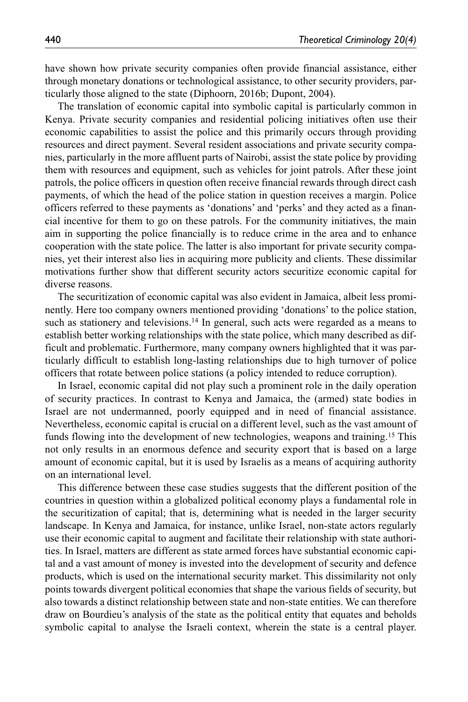have shown how private security companies often provide financial assistance, either through monetary donations or technological assistance, to other security providers, particularly those aligned to the state (Diphoorn, 2016b; Dupont, 2004).

The translation of economic capital into symbolic capital is particularly common in Kenya. Private security companies and residential policing initiatives often use their economic capabilities to assist the police and this primarily occurs through providing resources and direct payment. Several resident associations and private security companies, particularly in the more affluent parts of Nairobi, assist the state police by providing them with resources and equipment, such as vehicles for joint patrols. After these joint patrols, the police officers in question often receive financial rewards through direct cash payments, of which the head of the police station in question receives a margin. Police officers referred to these payments as 'donations' and 'perks' and they acted as a financial incentive for them to go on these patrols. For the community initiatives, the main aim in supporting the police financially is to reduce crime in the area and to enhance cooperation with the state police. The latter is also important for private security companies, yet their interest also lies in acquiring more publicity and clients. These dissimilar motivations further show that different security actors securitize economic capital for diverse reasons.

The securitization of economic capital was also evident in Jamaica, albeit less prominently. Here too company owners mentioned providing 'donations' to the police station, such as stationery and televisions.<sup>14</sup> In general, such acts were regarded as a means to establish better working relationships with the state police, which many described as difficult and problematic. Furthermore, many company owners highlighted that it was particularly difficult to establish long-lasting relationships due to high turnover of police officers that rotate between police stations (a policy intended to reduce corruption).

In Israel, economic capital did not play such a prominent role in the daily operation of security practices. In contrast to Kenya and Jamaica, the (armed) state bodies in Israel are not undermanned, poorly equipped and in need of financial assistance. Nevertheless, economic capital is crucial on a different level, such as the vast amount of funds flowing into the development of new technologies, weapons and training.15 This not only results in an enormous defence and security export that is based on a large amount of economic capital, but it is used by Israelis as a means of acquiring authority on an international level.

This difference between these case studies suggests that the different position of the countries in question within a globalized political economy plays a fundamental role in the securitization of capital; that is, determining what is needed in the larger security landscape. In Kenya and Jamaica, for instance, unlike Israel, non-state actors regularly use their economic capital to augment and facilitate their relationship with state authorities. In Israel, matters are different as state armed forces have substantial economic capital and a vast amount of money is invested into the development of security and defence products, which is used on the international security market. This dissimilarity not only points towards divergent political economies that shape the various fields of security, but also towards a distinct relationship between state and non-state entities. We can therefore draw on Bourdieu's analysis of the state as the political entity that equates and beholds symbolic capital to analyse the Israeli context, wherein the state is a central player.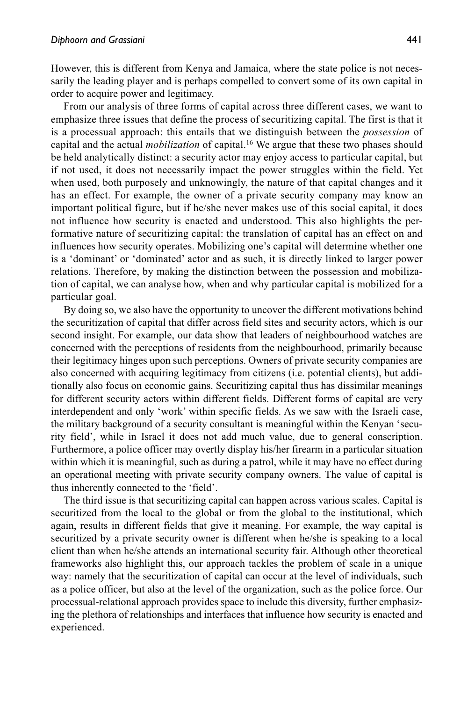However, this is different from Kenya and Jamaica, where the state police is not necessarily the leading player and is perhaps compelled to convert some of its own capital in order to acquire power and legitimacy.

From our analysis of three forms of capital across three different cases, we want to emphasize three issues that define the process of securitizing capital. The first is that it is a processual approach: this entails that we distinguish between the *possession* of capital and the actual *mobilization* of capital.16 We argue that these two phases should be held analytically distinct: a security actor may enjoy access to particular capital, but if not used, it does not necessarily impact the power struggles within the field. Yet when used, both purposely and unknowingly, the nature of that capital changes and it has an effect. For example, the owner of a private security company may know an important political figure, but if he/she never makes use of this social capital, it does not influence how security is enacted and understood. This also highlights the performative nature of securitizing capital: the translation of capital has an effect on and influences how security operates. Mobilizing one's capital will determine whether one is a 'dominant' or 'dominated' actor and as such, it is directly linked to larger power relations. Therefore, by making the distinction between the possession and mobilization of capital, we can analyse how, when and why particular capital is mobilized for a particular goal.

By doing so, we also have the opportunity to uncover the different motivations behind the securitization of capital that differ across field sites and security actors, which is our second insight. For example, our data show that leaders of neighbourhood watches are concerned with the perceptions of residents from the neighbourhood, primarily because their legitimacy hinges upon such perceptions. Owners of private security companies are also concerned with acquiring legitimacy from citizens (i.e. potential clients), but additionally also focus on economic gains. Securitizing capital thus has dissimilar meanings for different security actors within different fields. Different forms of capital are very interdependent and only 'work' within specific fields. As we saw with the Israeli case, the military background of a security consultant is meaningful within the Kenyan 'security field', while in Israel it does not add much value, due to general conscription. Furthermore, a police officer may overtly display his/her firearm in a particular situation within which it is meaningful, such as during a patrol, while it may have no effect during an operational meeting with private security company owners. The value of capital is thus inherently connected to the 'field'.

The third issue is that securitizing capital can happen across various scales. Capital is securitized from the local to the global or from the global to the institutional, which again, results in different fields that give it meaning. For example, the way capital is securitized by a private security owner is different when he/she is speaking to a local client than when he/she attends an international security fair. Although other theoretical frameworks also highlight this, our approach tackles the problem of scale in a unique way: namely that the securitization of capital can occur at the level of individuals, such as a police officer, but also at the level of the organization, such as the police force. Our processual-relational approach provides space to include this diversity, further emphasizing the plethora of relationships and interfaces that influence how security is enacted and experienced.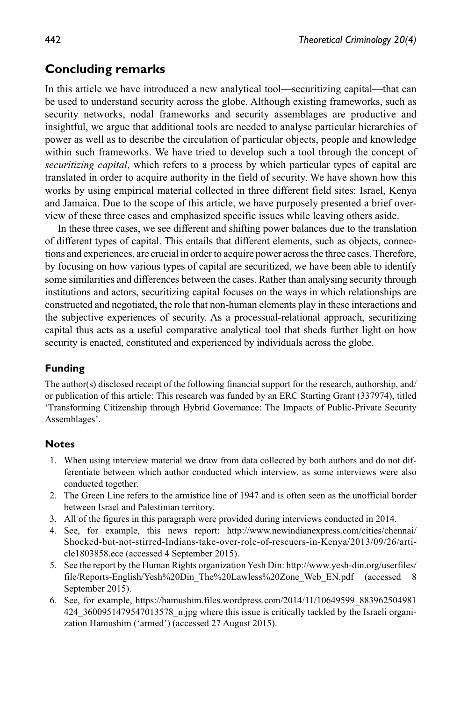## **Concluding remarks**

In this article we have introduced a new analytical tool—securitizing capital—that can be used to understand security across the globe. Although existing frameworks, such as security networks, nodal frameworks and security assemblages are productive and insightful, we argue that additional tools are needed to analyse particular hierarchies of power as well as to describe the circulation of particular objects, people and knowledge within such frameworks. We have tried to develop such a tool through the concept of *securitizing capital*, which refers to a process by which particular types of capital are translated in order to acquire authority in the field of security. We have shown how this works by using empirical material collected in three different field sites: Israel, Kenya and Jamaica. Due to the scope of this article, we have purposely presented a brief overview of these three cases and emphasized specific issues while leaving others aside.

In these three cases, we see different and shifting power balances due to the translation of different types of capital. This entails that different elements, such as objects, connections and experiences, are crucial in order to acquire power across the three cases. Therefore, by focusing on how various types of capital are securitized, we have been able to identify some similarities and differences between the cases. Rather than analysing security through institutions and actors, securitizing capital focuses on the ways in which relationships are constructed and negotiated, the role that non-human elements play in these interactions and the subjective experiences of security. As a processual-relational approach, securitizing capital thus acts as a useful comparative analytical tool that sheds further light on how security is enacted, constituted and experienced by individuals across the globe.

#### **Funding**

The author(s) disclosed receipt of the following financial support for the research, authorship, and/ or publication of this article: This research was funded by an ERC Starting Grant (337974), titled 'Transforming Citizenship through Hybrid Governance: The Impacts of Public-Private Security Assemblages'.

#### **Notes**

- 1. When using interview material we draw from data collected by both authors and do not differentiate between which author conducted which interview, as some interviews were also conducted together.
- 2. The Green Line refers to the armistice line of 1947 and is often seen as the unofficial border between Israel and Palestinian territory.
- 3. All of the figures in this paragraph were provided during interviews conducted in 2014.
- 4. See, for example, this news report: [http://www.newindianexpress.com/cities/chennai/](http://www.newindianexpress.com/cities/chennai/Shocked-but-not-stirred-Indians-take-over-role-of-rescuers-in-Kenya/2013/09/26/article1803858.ece) [Shocked-but-not-stirred-Indians-take-over-role-of-rescuers-in-Kenya/2013/09/26/arti](http://www.newindianexpress.com/cities/chennai/Shocked-but-not-stirred-Indians-take-over-role-of-rescuers-in-Kenya/2013/09/26/article1803858.ece)[cle1803858.ece](http://www.newindianexpress.com/cities/chennai/Shocked-but-not-stirred-Indians-take-over-role-of-rescuers-in-Kenya/2013/09/26/article1803858.ece) (accessed 4 September 2015).
- 5. See the report by the Human Rights organization Yesh Din: [http://www.yesh-din.org/userfiles/](http://www.yesh-din.org/userfiles/file/Reports-English/Yesh%20Din_The%20Lawless%20Zone_Web_EN.pdf) [file/Reports-English/Yesh%20Din\\_The%20Lawless%20Zone\\_Web\\_EN.pdf](http://www.yesh-din.org/userfiles/file/Reports-English/Yesh%20Din_The%20Lawless%20Zone_Web_EN.pdf) (accessed 8 September 2015).
- 6. See, for example, [https://hamushim.files.wordpress.com/2014/11/10649599\\_883962504981](https://hamushim.files.wordpress.com/2014/11/10649599_883962504981424_3600951479547013578_n.jpg) [424\\_3600951479547013578\\_n.jpg](https://hamushim.files.wordpress.com/2014/11/10649599_883962504981424_3600951479547013578_n.jpg) where this issue is critically tackled by the Israeli organization Hamushim ('armed') (accessed 27 August 2015).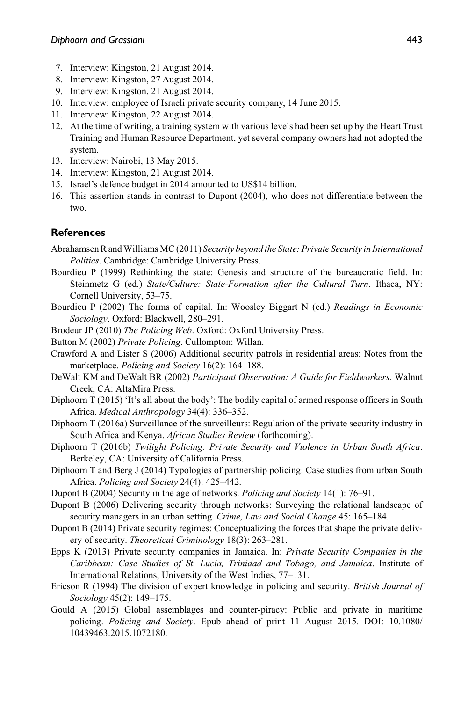- 7. Interview: Kingston, 21 August 2014.
- 8. Interview: Kingston, 27 August 2014.
- 9. Interview: Kingston, 21 August 2014.
- 10. Interview: employee of Israeli private security company, 14 June 2015.
- 11. Interview: Kingston, 22 August 2014.
- 12. At the time of writing, a training system with various levels had been set up by the Heart Trust Training and Human Resource Department, yet several company owners had not adopted the system.
- 13. Interview: Nairobi, 13 May 2015.
- 14. Interview: Kingston, 21 August 2014.
- 15. Israel's defence budget in 2014 amounted to US\$14 billion.
- 16. This assertion stands in contrast to Dupont (2004), who does not differentiate between the two.

#### **References**

- Abrahamsen R and Williams MC (2011) *Security beyond the State: Private Security in International Politics*. Cambridge: Cambridge University Press.
- Bourdieu P (1999) Rethinking the state: Genesis and structure of the bureaucratic field. In: Steinmetz G (ed.) *State/Culture: State-Formation after the Cultural Turn*. Ithaca, NY: Cornell University, 53–75.
- Bourdieu P (2002) The forms of capital. In: Woosley Biggart N (ed.) *Readings in Economic Sociology*. Oxford: Blackwell, 280–291.
- Brodeur JP (2010) *The Policing Web*. Oxford: Oxford University Press.
- Button M (2002) *Private Policing*. Cullompton: Willan.
- Crawford A and Lister S (2006) Additional security patrols in residential areas: Notes from the marketplace. *Policing and Society* 16(2): 164–188.
- DeWalt KM and DeWalt BR (2002) *Participant Observation: A Guide for Fieldworkers*. Walnut Creek, CA: AltaMira Press.
- Diphoorn T (2015) 'It's all about the body': The bodily capital of armed response officers in South Africa. *Medical Anthropology* 34(4): 336–352.
- Diphoorn T (2016a) Surveillance of the surveilleurs: Regulation of the private security industry in South Africa and Kenya. *African Studies Review* (forthcoming).
- Diphoorn T (2016b) *Twilight Policing: Private Security and Violence in Urban South Africa*. Berkeley, CA: University of California Press.
- Diphoorn T and Berg J (2014) Typologies of partnership policing: Case studies from urban South Africa. *Policing and Society* 24(4): 425–442.
- Dupont B (2004) Security in the age of networks. *Policing and Society* 14(1): 76–91.
- Dupont B (2006) Delivering security through networks: Surveying the relational landscape of security managers in an urban setting. *Crime, Law and Social Change* 45: 165–184.
- Dupont B (2014) Private security regimes: Conceptualizing the forces that shape the private delivery of security. *Theoretical Criminology* 18(3): 263–281.
- Epps K (2013) Private security companies in Jamaica. In: *Private Security Companies in the Caribbean: Case Studies of St. Lucia, Trinidad and Tobago, and Jamaica*. Institute of International Relations, University of the West Indies, 77–131.
- Ericson R (1994) The division of expert knowledge in policing and security. *British Journal of Sociology* 45(2): 149–175.
- Gould A (2015) Global assemblages and counter-piracy: Public and private in maritime policing. *Policing and Society*. Epub ahead of print 11 August 2015. DOI: 10.1080/ 10439463.2015.1072180.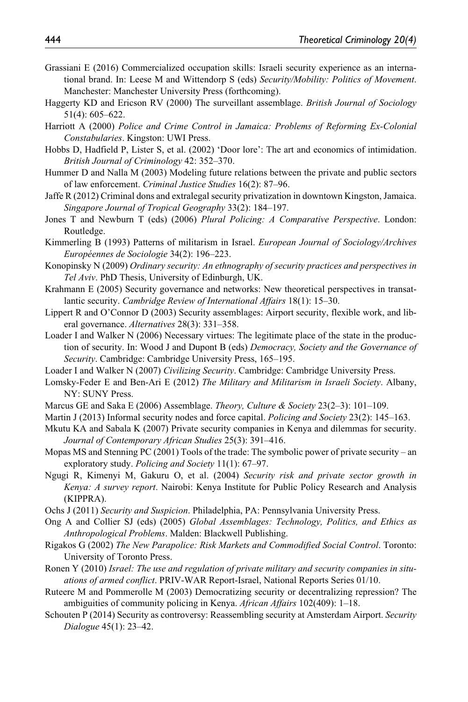- Grassiani E (2016) Commercialized occupation skills: Israeli security experience as an international brand. In: Leese M and Wittendorp S (eds) *Security/Mobility: Politics of Movement*. Manchester: Manchester University Press (forthcoming).
- Haggerty KD and Ericson RV (2000) The surveillant assemblage. *British Journal of Sociology* 51(4): 605–622.
- Harriott A (2000) *Police and Crime Control in Jamaica: Problems of Reforming Ex-Colonial Constabularies*. Kingston: UWI Press.
- Hobbs D, Hadfield P, Lister S, et al. (2002) 'Door lore': The art and economics of intimidation. *British Journal of Criminology* 42: 352–370.
- Hummer D and Nalla M (2003) Modeling future relations between the private and public sectors of law enforcement. *Criminal Justice Studies* 16(2): 87–96.
- Jaffe R (2012) Criminal dons and extralegal security privatization in downtown Kingston, Jamaica. *Singapore Journal of Tropical Geography* 33(2): 184–197.
- Jones T and Newburn T (eds) (2006) *Plural Policing: A Comparative Perspective*. London: Routledge.
- Kimmerling B (1993) Patterns of militarism in Israel. *European Journal of Sociology/Archives Européennes de Sociologie* 34(2): 196–223.
- Konopinsky N (2009) *Ordinary security: An ethnography of security practices and perspectives in Tel Aviv*. PhD Thesis, University of Edinburgh, UK.
- Krahmann E (2005) Security governance and networks: New theoretical perspectives in transatlantic security. *Cambridge Review of International Affairs* 18(1): 15–30.
- Lippert R and O'Connor D (2003) Security assemblages: Airport security, flexible work, and liberal governance. *Alternatives* 28(3): 331–358.
- Loader I and Walker N (2006) Necessary virtues: The legitimate place of the state in the production of security. In: Wood J and Dupont B (eds) *Democracy, Society and the Governance of Security*. Cambridge: Cambridge University Press, 165–195.
- Loader I and Walker N (2007) *Civilizing Security*. Cambridge: Cambridge University Press.
- Lomsky-Feder E and Ben-Ari E (2012) *The Military and Militarism in Israeli Society*. Albany, NY: SUNY Press.
- Marcus GE and Saka E (2006) Assemblage. *Theory, Culture & Society* 23(2–3): 101–109.
- Martin J (2013) Informal security nodes and force capital. *Policing and Society* 23(2): 145–163.
- Mkutu KA and Sabala K (2007) Private security companies in Kenya and dilemmas for security. *Journal of Contemporary African Studies* 25(3): 391–416.
- Mopas MS and Stenning PC (2001) Tools of the trade: The symbolic power of private security an exploratory study. *Policing and Society* 11(1): 67–97.
- Ngugi R, Kimenyi M, Gakuru O, et al. (2004) *Security risk and private sector growth in Kenya: A survey report*. Nairobi: Kenya Institute for Public Policy Research and Analysis (KIPPRA).
- Ochs J (2011) *Security and Suspicion*. Philadelphia, PA: Pennsylvania University Press.
- Ong A and Collier SJ (eds) (2005) *Global Assemblages: Technology, Politics, and Ethics as Anthropological Problems*. Malden: Blackwell Publishing.
- Rigakos G (2002) *The New Parapolice: Risk Markets and Commodified Social Control*. Toronto: University of Toronto Press.
- Ronen Y (2010) *Israel: The use and regulation of private military and security companies in situations of armed conflict*. PRIV-WAR Report-Israel, National Reports Series 01/10.
- Ruteere M and Pommerolle M (2003) Democratizing security or decentralizing repression? The ambiguities of community policing in Kenya. *African Affairs* 102(409): 1–18.
- Schouten P (2014) Security as controversy: Reassembling security at Amsterdam Airport. *Security Dialogue* 45(1): 23–42.